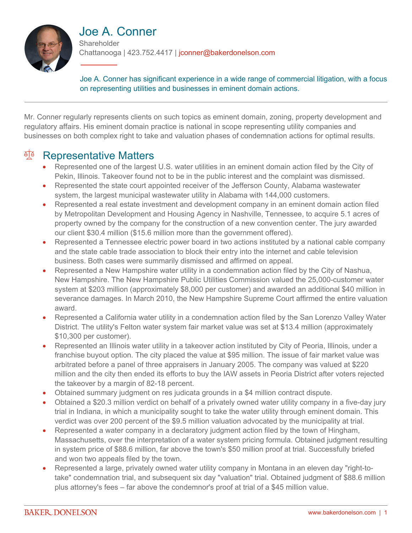

# Joe A. Conner

**Shareholder** Chattanooga | 423.752.4417 | jconner@bakerdonelson.com

Joe A. Conner has significant experience in a wide range of commercial litigation, with a focus on representing utilities and businesses in eminent domain actions.

Mr. Conner regularly represents clients on such topics as eminent domain, zoning, property development and regulatory affairs. His eminent domain practice is national in scope representing utility companies and businesses on both complex right to take and valuation phases of condemnation actions for optimal results.

### <sup>A</sup> Representative Matters

- Represented one of the largest U.S. water utilities in an eminent domain action filed by the City of Pekin, Illinois. Takeover found not to be in the public interest and the complaint was dismissed.
- Represented the state court appointed receiver of the Jefferson County, Alabama wastewater system, the largest municipal wastewater utility in Alabama with 144,000 customers.
- Represented a real estate investment and development company in an eminent domain action filed by Metropolitan Development and Housing Agency in Nashville, Tennessee, to acquire 5.1 acres of property owned by the company for the construction of a new convention center. The jury awarded our client \$30.4 million (\$15.6 million more than the government offered).
- Represented a Tennessee electric power board in two actions instituted by a national cable company and the state cable trade association to block their entry into the internet and cable television business. Both cases were summarily dismissed and affirmed on appeal.
- Represented a New Hampshire water utility in a condemnation action filed by the City of Nashua, New Hampshire. The New Hampshire Public Utilities Commission valued the 25,000-customer water system at \$203 million (approximately \$8,000 per customer) and awarded an additional \$40 million in severance damages. In March 2010, the New Hampshire Supreme Court affirmed the entire valuation award.
- Represented a California water utility in a condemnation action filed by the San Lorenzo Valley Water District. The utility's Felton water system fair market value was set at \$13.4 million (approximately \$10,300 per customer).
- Represented an Illinois water utility in a takeover action instituted by City of Peoria, Illinois, under a franchise buyout option. The city placed the value at \$95 million. The issue of fair market value was arbitrated before a panel of three appraisers in January 2005. The company was valued at \$220 million and the city then ended its efforts to buy the IAW assets in Peoria District after voters rejected the takeover by a margin of 82-18 percent.
- Obtained summary judgment on res judicata grounds in a \$4 million contract dispute.
- Obtained a \$20.3 million verdict on behalf of a privately owned water utility company in a five-day jury trial in Indiana, in which a municipality sought to take the water utility through eminent domain. This verdict was over 200 percent of the \$9.5 million valuation advocated by the municipality at trial.
- Represented a water company in a declaratory judgment action filed by the town of Hingham, Massachusetts, over the interpretation of a water system pricing formula. Obtained judgment resulting in system price of \$88.6 million, far above the town's \$50 million proof at trial. Successfully briefed and won two appeals filed by the town.
- Represented a large, privately owned water utility company in Montana in an eleven day "right-totake" condemnation trial, and subsequent six day "valuation" trial. Obtained judgment of \$88.6 million plus attorney's fees – far above the condemnor's proof at trial of a \$45 million value.